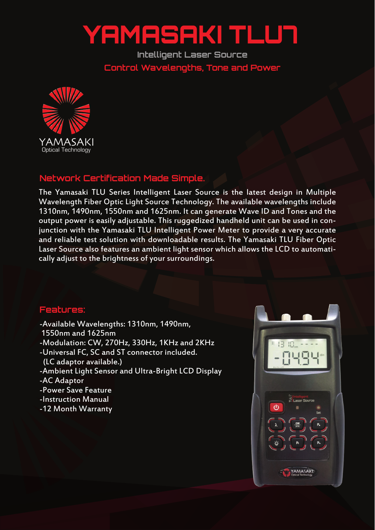## YAMASAKI TLUT

**Intelligent Laser Source Control Wavelengths, Tone and Power**



## **Network Certification Made Simple.**

The Yamasaki TLU Series Intelligent Laser Source is the latest design in Multiple Wavelength Fiber Optic Light Source Technology. The available wavelengths include 1310nm, 1490nm, 1550nm and 1625nm. It can generate Wave ID and Tones and the output power is easily adjustable. This ruggedized handheld unit can be used in conjunction with the Yamasaki TLU Intelligent Power Meter to provide a very accurate and reliable test solution with downloadable results. The Yamasaki TLU Fiber Optic Laser Source also features an ambient light sensor which allows the LCD to automatically adjust to the brightness of your surroundings.

## **Features:**

- -Available Wavelengths: 1310nm, 1490nm,
- 1550nm and 1625nm
- -Modulation: CW, 270Hz, 330Hz, 1KHz and 2KHz
- -Universal FC, SC and ST connector included.
- (LC adaptor available.)
- -Ambient Light Sensor and Ultra-Bright LCD Display
- -AC Adaptor
- -Power Save Feature
- -Instruction Manual
- -12 Month Warranty